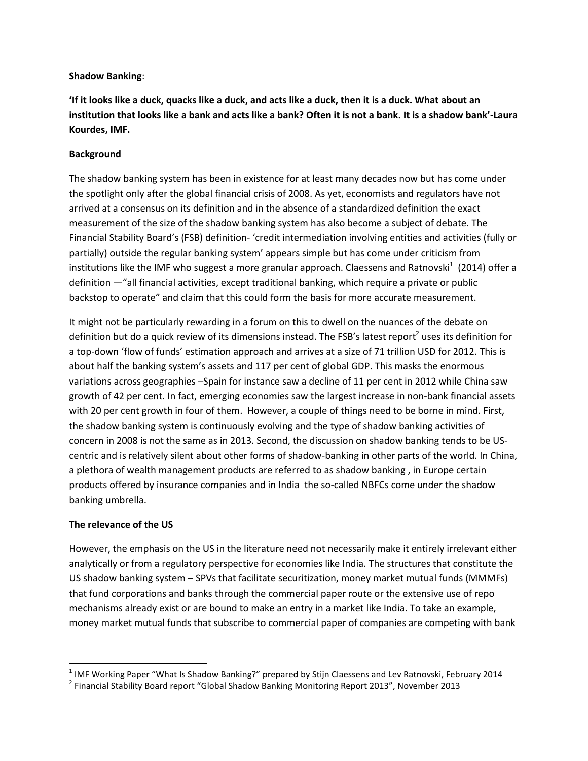### **Shadow Banking**:

**'If it looks like a duck, quacks like a duck, and acts like a duck, then it is a duck. What about an institution that looks like a bank and acts like a bank? Often it is not a bank. It is a shadow bank'-Laura Kourdes, IMF.**

### **Background**

The shadow banking system has been in existence for at least many decades now but has come under the spotlight only after the global financial crisis of 2008. As yet, economists and regulators have not arrived at a consensus on its definition and in the absence of a standardized definition the exact measurement of the size of the shadow banking system has also become a subject of debate. The Financial Stability Board's (FSB) definition- 'credit intermediation involving entities and activities (fully or partially) outside the regular banking system' appears simple but has come under criticism from institutions like the IMF who suggest a more granular approach. Claessens and Ratnovski $^1$  (2014) offer a definition —"all financial activities, except traditional banking, which require a private or public backstop to operate" and claim that this could form the basis for more accurate measurement.

It might not be particularly rewarding in a forum on this to dwell on the nuances of the debate on definition but do a quick review of its dimensions instead. The FSB's latest report<sup>2</sup> uses its definition for a top-down 'flow of funds' estimation approach and arrives at a size of 71 trillion USD for 2012. This is about half the banking system's assets and 117 per cent of global GDP. This masks the enormous variations across geographies –Spain for instance saw a decline of 11 per cent in 2012 while China saw growth of 42 per cent. In fact, emerging economies saw the largest increase in non-bank financial assets with 20 per cent growth in four of them. However, a couple of things need to be borne in mind. First, the shadow banking system is continuously evolving and the type of shadow banking activities of concern in 2008 is not the same as in 2013. Second, the discussion on shadow banking tends to be UScentric and is relatively silent about other forms of shadow-banking in other parts of the world. In China, a plethora of wealth management products are referred to as shadow banking , in Europe certain products offered by insurance companies and in India the so-called NBFCs come under the shadow banking umbrella.

### **The relevance of the US**

l

However, the emphasis on the US in the literature need not necessarily make it entirely irrelevant either analytically or from a regulatory perspective for economies like India. The structures that constitute the US shadow banking system – SPVs that facilitate securitization, money market mutual funds (MMMFs) that fund corporations and banks through the commercial paper route or the extensive use of repo mechanisms already exist or are bound to make an entry in a market like India. To take an example, money market mutual funds that subscribe to commercial paper of companies are competing with bank

 $^1$  IMF Working Paper "What Is Shadow Banking?" prepared by Stijn Claessens and Lev Ratnovski, February 2014

<sup>&</sup>lt;sup>2</sup> Financial Stability Board report "Global Shadow Banking Monitoring Report 2013", November 2013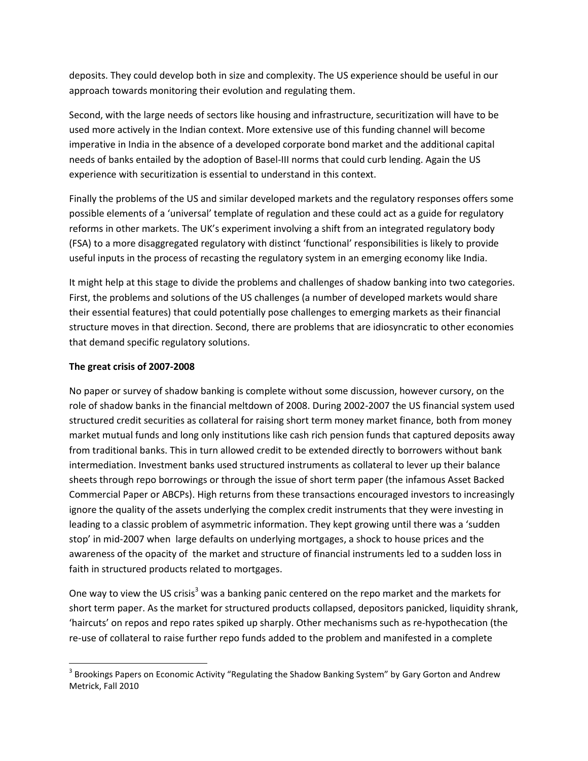deposits. They could develop both in size and complexity. The US experience should be useful in our approach towards monitoring their evolution and regulating them.

Second, with the large needs of sectors like housing and infrastructure, securitization will have to be used more actively in the Indian context. More extensive use of this funding channel will become imperative in India in the absence of a developed corporate bond market and the additional capital needs of banks entailed by the adoption of Basel-III norms that could curb lending. Again the US experience with securitization is essential to understand in this context.

Finally the problems of the US and similar developed markets and the regulatory responses offers some possible elements of a 'universal' template of regulation and these could act as a guide for regulatory reforms in other markets. The UK's experiment involving a shift from an integrated regulatory body (FSA) to a more disaggregated regulatory with distinct 'functional' responsibilities is likely to provide useful inputs in the process of recasting the regulatory system in an emerging economy like India.

It might help at this stage to divide the problems and challenges of shadow banking into two categories. First, the problems and solutions of the US challenges (a number of developed markets would share their essential features) that could potentially pose challenges to emerging markets as their financial structure moves in that direction. Second, there are problems that are idiosyncratic to other economies that demand specific regulatory solutions.

# **The great crisis of 2007-2008**

l

No paper or survey of shadow banking is complete without some discussion, however cursory, on the role of shadow banks in the financial meltdown of 2008. During 2002-2007 the US financial system used structured credit securities as collateral for raising short term money market finance, both from money market mutual funds and long only institutions like cash rich pension funds that captured deposits away from traditional banks. This in turn allowed credit to be extended directly to borrowers without bank intermediation. Investment banks used structured instruments as collateral to lever up their balance sheets through repo borrowings or through the issue of short term paper (the infamous Asset Backed Commercial Paper or ABCPs). High returns from these transactions encouraged investors to increasingly ignore the quality of the assets underlying the complex credit instruments that they were investing in leading to a classic problem of asymmetric information. They kept growing until there was a 'sudden stop' in mid-2007 when large defaults on underlying mortgages, a shock to house prices and the awareness of the opacity of the market and structure of financial instruments led to a sudden loss in faith in structured products related to mortgages.

One way to view the US crisis<sup>3</sup> was a banking panic centered on the repo market and the markets for short term paper. As the market for structured products collapsed, depositors panicked, liquidity shrank, 'haircuts' on repos and repo rates spiked up sharply. Other mechanisms such as re-hypothecation (the re-use of collateral to raise further repo funds added to the problem and manifested in a complete

 $^3$  Brookings Papers on Economic Activity "Regulating the Shadow Banking System" by Gary Gorton and Andrew Metrick, Fall 2010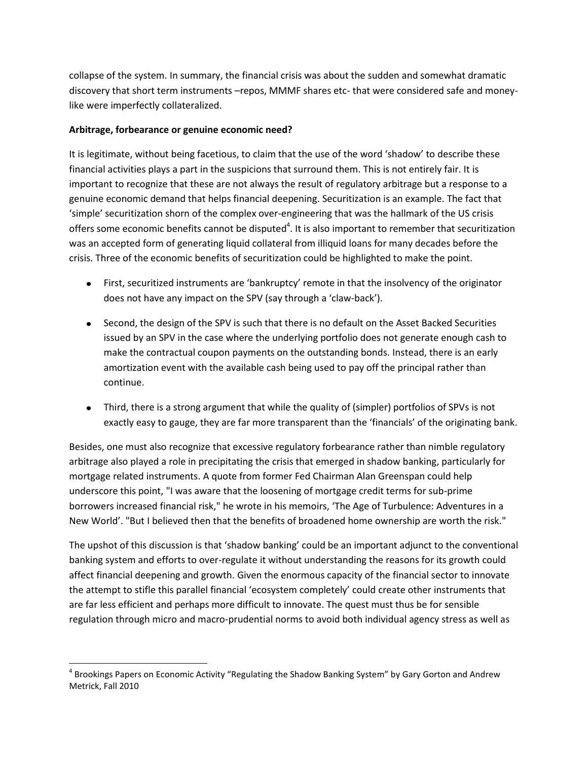collapse of the system. In summary, the financial crisis was about the sudden and somewhat dramatic discovery that short term instruments –repos, MMMF shares etc- that were considered safe and moneylike were imperfectly collateralized.

## **Arbitrage, forbearance or genuine economic need?**

l

It is legitimate, without being facetious, to claim that the use of the word 'shadow' to describe these financial activities plays a part in the suspicions that surround them. This is not entirely fair. It is important to recognize that these are not always the result of regulatory arbitrage but a response to a genuine economic demand that helps financial deepening. Securitization is an example. The fact that 'simple' securitization shorn of the complex over-engineering that was the hallmark of the US crisis offers some economic benefits cannot be disputed<sup>4</sup>. It is also important to remember that securitization was an accepted form of generating liquid collateral from illiquid loans for many decades before the crisis. Three of the economic benefits of securitization could be highlighted to make the point.

- First, securitized instruments are 'bankruptcy' remote in that the insolvency of the originator does not have any impact on the SPV (say through a 'claw-back').
- Second, the design of the SPV is such that there is no default on the Asset Backed Securities issued by an SPV in the case where the underlying portfolio does not generate enough cash to make the contractual coupon payments on the outstanding bonds. Instead, there is an early amortization event with the available cash being used to pay off the principal rather than continue.
- Third, there is a strong argument that while the quality of (simpler) portfolios of SPVs is not exactly easy to gauge, they are far more transparent than the 'financials' of the originating bank.

Besides, one must also recognize that excessive regulatory forbearance rather than nimble regulatory arbitrage also played a role in precipitating the crisis that emerged in shadow banking, particularly for mortgage related instruments. A quote from former Fed Chairman Alan Greenspan could help underscore this point, "I was aware that the loosening of mortgage credit terms for sub-prime borrowers increased financial risk," he wrote in his memoirs, 'The Age of Turbulence: Adventures in a New World'. "But I believed then that the benefits of broadened home ownership are worth the risk."

The upshot of this discussion is that 'shadow banking' could be an important adjunct to the conventional banking system and efforts to over-regulate it without understanding the reasons for its growth could affect financial deepening and growth. Given the enormous capacity of the financial sector to innovate the attempt to stifle this parallel financial 'ecosystem completely' could create other instruments that are far less efficient and perhaps more difficult to innovate. The quest must thus be for sensible regulation through micro and macro-prudential norms to avoid both individual agency stress as well as

<sup>&</sup>lt;sup>4</sup> Brookings Papers on Economic Activity "Regulating the Shadow Banking System" by Gary Gorton and Andrew Metrick, Fall 2010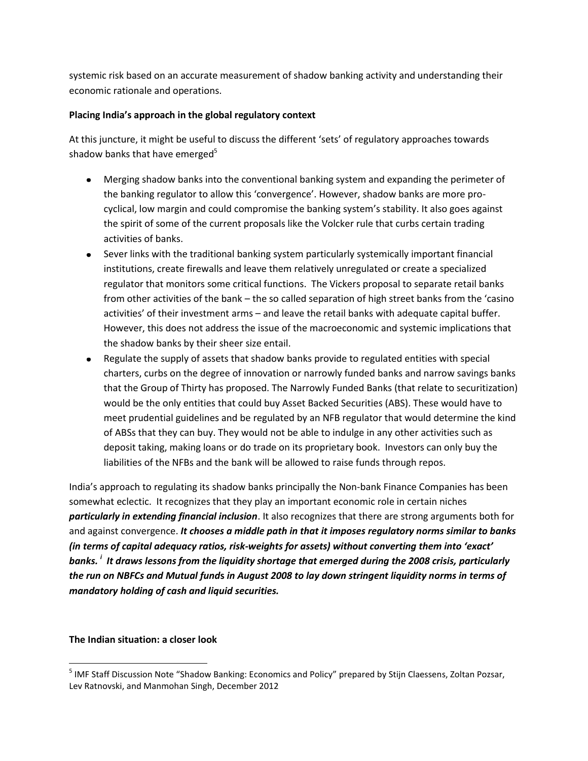systemic risk based on an accurate measurement of shadow banking activity and understanding their economic rationale and operations.

## **Placing India's approach in the global regulatory context**

At this juncture, it might be useful to discuss the different 'sets' of regulatory approaches towards shadow banks that have emerged<sup>5</sup>

- Merging shadow banks into the conventional banking system and expanding the perimeter of the banking regulator to allow this 'convergence'. However, shadow banks are more procyclical, low margin and could compromise the banking system's stability. It also goes against the spirit of some of the current proposals like the Volcker rule that curbs certain trading activities of banks.
- Sever links with the traditional banking system particularly systemically important financial institutions, create firewalls and leave them relatively unregulated or create a specialized regulator that monitors some critical functions. The Vickers proposal to separate retail banks from other activities of the bank – the so called separation of high street banks from the 'casino activities' of their investment arms – and leave the retail banks with adequate capital buffer. However, this does not address the issue of the macroeconomic and systemic implications that the shadow banks by their sheer size entail.
- Regulate the supply of assets that shadow banks provide to regulated entities with special charters, curbs on the degree of innovation or narrowly funded banks and narrow savings banks that the Group of Thirty has proposed. The Narrowly Funded Banks (that relate to securitization) would be the only entities that could buy Asset Backed Securities (ABS). These would have to meet prudential guidelines and be regulated by an NFB regulator that would determine the kind of ABSs that they can buy. They would not be able to indulge in any other activities such as deposit taking, making loans or do trade on its proprietary book. Investors can only buy the liabilities of the NFBs and the bank will be allowed to raise funds through repos.

India's approach to regulating its shadow banks principally the Non-bank Finance Companies has been somewhat eclectic. It recognizes that they play an important economic role in certain niches *particularly in extending financial inclusion*. It also recognizes that there are strong arguments both for and against convergence. *It chooses a middle path in that it imposes regulatory norms similar to banks (in terms of capital adequacy ratios, risk-weights for assets) without converting them into 'exact' banks. <sup>i</sup> It draws lessons from the liquidity shortage that emerged during the 2008 crisis, particularly the run on NBFCs and Mutual fund***s** *in August 2008 to lay down stringent liquidity norms in terms of mandatory holding of cash and liquid securities.*

# **The Indian situation: a closer look**

l <sup>5</sup> IMF Staff Discussion Note "Shadow Banking: Economics and Policy" prepared by Stijn Claessens, Zoltan Pozsar, Lev Ratnovski, and Manmohan Singh, December 2012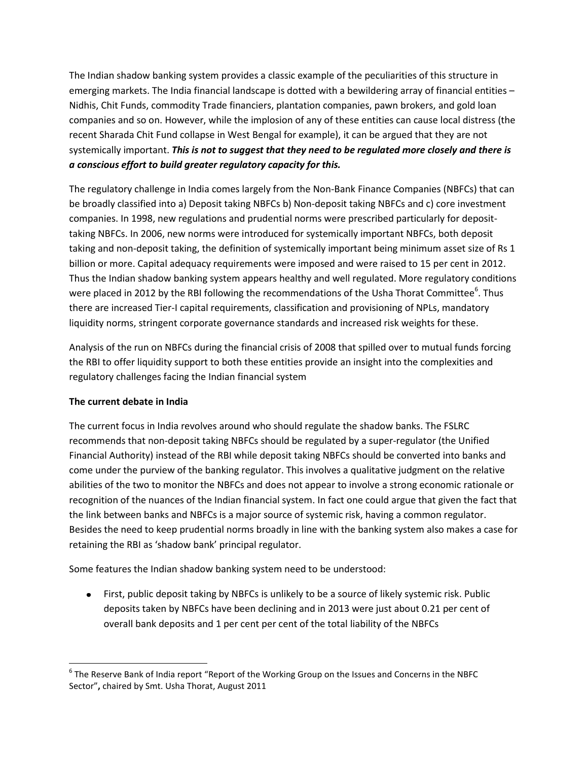The Indian shadow banking system provides a classic example of the peculiarities of this structure in emerging markets. The India financial landscape is dotted with a bewildering array of financial entities – Nidhis, Chit Funds, commodity Trade financiers, plantation companies, pawn brokers, and gold loan companies and so on. However, while the implosion of any of these entities can cause local distress (the recent Sharada Chit Fund collapse in West Bengal for example), it can be argued that they are not systemically important. *This is not to suggest that they need to be regulated more closely and there is a conscious effort to build greater regulatory capacity for this.*

The regulatory challenge in India comes largely from the Non-Bank Finance Companies (NBFCs) that can be broadly classified into a) Deposit taking NBFCs b) Non-deposit taking NBFCs and c) core investment companies. In 1998, new regulations and prudential norms were prescribed particularly for deposittaking NBFCs. In 2006, new norms were introduced for systemically important NBFCs, both deposit taking and non-deposit taking, the definition of systemically important being minimum asset size of Rs 1 billion or more. Capital adequacy requirements were imposed and were raised to 15 per cent in 2012. Thus the Indian shadow banking system appears healthy and well regulated. More regulatory conditions were placed in 2012 by the RBI following the recommendations of the Usha Thorat Committee<sup>6</sup>. Thus there are increased Tier-I capital requirements, classification and provisioning of NPLs, mandatory liquidity norms, stringent corporate governance standards and increased risk weights for these.

Analysis of the run on NBFCs during the financial crisis of 2008 that spilled over to mutual funds forcing the RBI to offer liquidity support to both these entities provide an insight into the complexities and regulatory challenges facing the Indian financial system

# **The current debate in India**

l

The current focus in India revolves around who should regulate the shadow banks. The FSLRC recommends that non-deposit taking NBFCs should be regulated by a super-regulator (the Unified Financial Authority) instead of the RBI while deposit taking NBFCs should be converted into banks and come under the purview of the banking regulator. This involves a qualitative judgment on the relative abilities of the two to monitor the NBFCs and does not appear to involve a strong economic rationale or recognition of the nuances of the Indian financial system. In fact one could argue that given the fact that the link between banks and NBFCs is a major source of systemic risk, having a common regulator. Besides the need to keep prudential norms broadly in line with the banking system also makes a case for retaining the RBI as 'shadow bank' principal regulator.

Some features the Indian shadow banking system need to be understood:

First, public deposit taking by NBFCs is unlikely to be a source of likely systemic risk. Public deposits taken by NBFCs have been declining and in 2013 were just about 0.21 per cent of overall bank deposits and 1 per cent per cent of the total liability of the NBFCs

 $^6$  The Reserve Bank of India report "Report of the Working Group on the Issues and Concerns in the NBFC Sector"**,** chaired by Smt. Usha Thorat, August 2011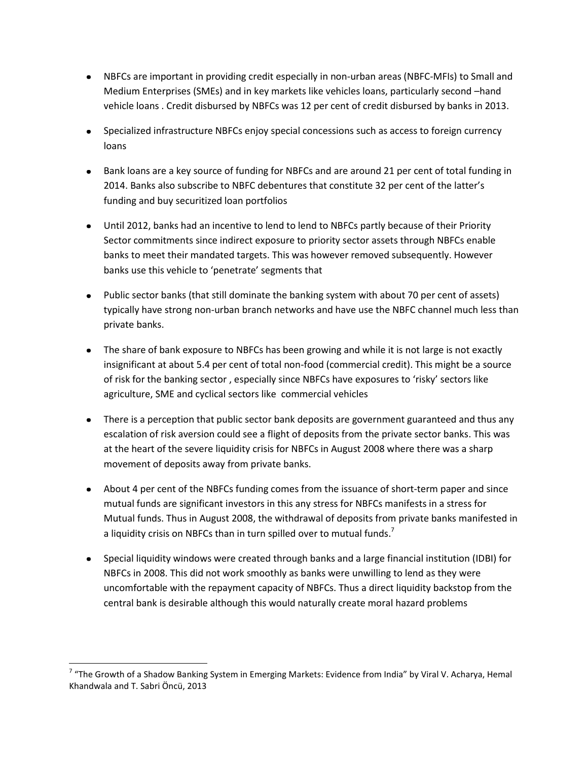- NBFCs are important in providing credit especially in non-urban areas (NBFC-MFIs) to Small and Medium Enterprises (SMEs) and in key markets like vehicles loans, particularly second –hand vehicle loans . Credit disbursed by NBFCs was 12 per cent of credit disbursed by banks in 2013.
- Specialized infrastructure NBFCs enjoy special concessions such as access to foreign currency loans
- Bank loans are a key source of funding for NBFCs and are around 21 per cent of total funding in 2014. Banks also subscribe to NBFC debentures that constitute 32 per cent of the latter's funding and buy securitized loan portfolios
- Until 2012, banks had an incentive to lend to lend to NBFCs partly because of their Priority Sector commitments since indirect exposure to priority sector assets through NBFCs enable banks to meet their mandated targets. This was however removed subsequently. However banks use this vehicle to 'penetrate' segments that
- Public sector banks (that still dominate the banking system with about 70 per cent of assets) typically have strong non-urban branch networks and have use the NBFC channel much less than private banks.
- The share of bank exposure to NBFCs has been growing and while it is not large is not exactly insignificant at about 5.4 per cent of total non-food (commercial credit). This might be a source of risk for the banking sector , especially since NBFCs have exposures to 'risky' sectors like agriculture, SME and cyclical sectors like commercial vehicles
- There is a perception that public sector bank deposits are government guaranteed and thus any escalation of risk aversion could see a flight of deposits from the private sector banks. This was at the heart of the severe liquidity crisis for NBFCs in August 2008 where there was a sharp movement of deposits away from private banks.
- About 4 per cent of the NBFCs funding comes from the issuance of short-term paper and since mutual funds are significant investors in this any stress for NBFCs manifests in a stress for Mutual funds. Thus in August 2008, the withdrawal of deposits from private banks manifested in a liquidity crisis on NBFCs than in turn spilled over to mutual funds.<sup>7</sup>
- Special liquidity windows were created through banks and a large financial institution (IDBI) for NBFCs in 2008. This did not work smoothly as banks were unwilling to lend as they were uncomfortable with the repayment capacity of NBFCs. Thus a direct liquidity backstop from the central bank is desirable although this would naturally create moral hazard problems

l

<sup>&</sup>lt;sup>7</sup> "The Growth of a Shadow Banking System in Emerging Markets: Evidence from India" by Viral V. Acharya, Hemal Khandwala and T. Sabri Öncü, 2013